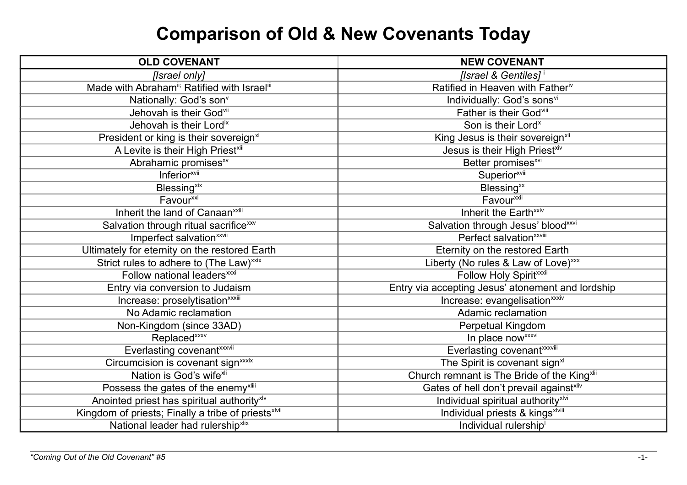## **Comparison of Old & New Covenants Today**

| <b>OLD COVENANT</b>                                                  | <b>NEW COVENANT</b>                               |
|----------------------------------------------------------------------|---------------------------------------------------|
| [Israel only]                                                        | [Israel & Gentiles] <sup>i</sup>                  |
| Made with Abraham <sup>ii;</sup> Ratified with Israel <sup>iii</sup> | Ratified in Heaven with Fatheriv                  |
| Nationally: God's son <sup>v</sup>                                   | Individually: God's sons <sup>vi</sup>            |
| Jehovah is their Godvii                                              | Father is their Godvill                           |
| Jehovah is their Lordix                                              | Son is their Lord <sup>x</sup>                    |
| President or king is their sovereign <sup>xi</sup>                   | King Jesus is their sovereign <sup>xii</sup>      |
| A Levite is their High Priest <sup>xiii</sup>                        | Jesus is their High Priestxiv                     |
| Abrahamic promises <sup>xv</sup>                                     | Better promises <sup>xvi</sup>                    |
| Inferior <sup>xvii</sup>                                             | <b>Superior</b> <sup>xviii</sup>                  |
| <b>Blessing</b> <sup>xix</sup>                                       | Blessing <sup>xx</sup>                            |
| Favour <sup>xxi</sup>                                                | Favour <sup>xxii</sup>                            |
| Inherit the land of Canaan <sup>xxiii</sup>                          | Inherit the Earth <sup>xxiv</sup>                 |
| Salvation through ritual sacrifice <sup>xxv</sup>                    | Salvation through Jesus' blood <sup>xxvi</sup>    |
| Imperfect salvation <sup>xxvii</sup>                                 | Perfect salvation <sup>xxviii</sup>               |
| Ultimately for eternity on the restored Earth                        | Eternity on the restored Earth                    |
| Strict rules to adhere to (The Law) <sup>xxix</sup>                  | Liberty (No rules & Law of Love) <sup>xxx</sup>   |
| Follow national leaders <sup>xxxi</sup>                              | Follow Holy Spiritxxxii                           |
| Entry via conversion to Judaism                                      | Entry via accepting Jesus' atonement and lordship |
| Increase: proselytisation <sup>xxxiii</sup>                          | Increase: evangelisation <sup>xxxiv</sup>         |
| No Adamic reclamation                                                | Adamic reclamation                                |
| Non-Kingdom (since 33AD)                                             | Perpetual Kingdom                                 |
| Replaced <sup>xxxv</sup>                                             | In place now xxxvi                                |
| Everlasting covenant <sup>xxxvii</sup>                               | Everlasting covenant <sup>xxxviii</sup>           |
| Circumcision is covenant sign <sup>xxxix</sup>                       | The Spirit is covenant sign <sup>xl</sup>         |
| Nation is God's wife <sup>xli</sup>                                  | Church remnant is The Bride of the Kingxlii       |
| Possess the gates of the enemy <sup>xliii</sup>                      | Gates of hell don't prevail againstxliv           |
| Anointed priest has spiritual authority <sup>xlv</sup>               | Individual spiritual authority <sup>xlvi</sup>    |
| Kingdom of priests; Finally a tribe of priests <sup>xlvii</sup>      | Individual priests & kingsxlviii                  |
| National leader had rulership <sup>xlix</sup>                        | Individual rulership <sup>1</sup>                 |